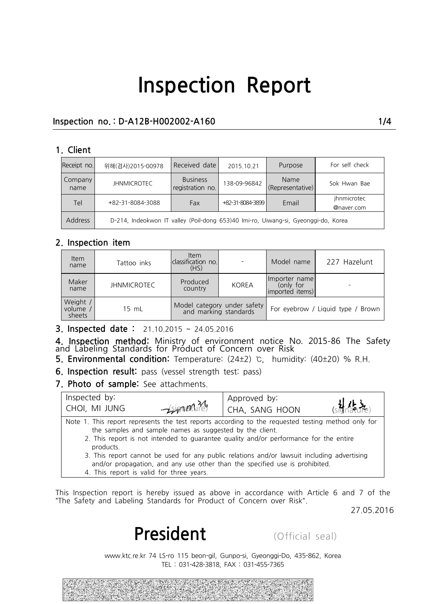### **Inspection no. : D-A12B-H002002-A160 1/4**

#### **1. Client**

| Receipt no.     | 위해(검사)2015-00978                                                                   | Received date                       | 2015.10.21       | Purpose                  | For self check            |  |
|-----------------|------------------------------------------------------------------------------------|-------------------------------------|------------------|--------------------------|---------------------------|--|
| Company<br>name | <b>JHNMICROTEC</b>                                                                 | <b>Business</b><br>registration no. | 138-09-96842     | Name<br>(Representative) | Sok Hwan Bae              |  |
| <b>Tel</b>      | +82-31-8084-3088                                                                   | Fax                                 | +82-31-8084-3899 | Email                    | ihnmicrotec<br>@naver.com |  |
| <b>Address</b>  | D-214, Indeokwon IT valley (Poil-dong 653)40 Imi-ro, Uiwang-si, Gyeonggi-do, Korea |                                     |                  |                          |                           |  |

#### **2. Inspection item**

| <b>Item</b><br>name           | Tattoo inks        | <b>Item</b><br>classification no.<br>(HS)            |              | Model name                                             | 227 Hazelunt |  |
|-------------------------------|--------------------|------------------------------------------------------|--------------|--------------------------------------------------------|--------------|--|
| Maker<br>name                 | <b>JHNMICROTEC</b> | Produced<br>country                                  | <b>KOREA</b> | Ilmporter name<br>(only for<br>imported <i>items</i> ) |              |  |
| Weight /<br>volume,<br>sheets | 15 mL              | Model category under safety<br>and marking standards |              | For eyebrow / Liquid type / Brown                      |              |  |

**3. Inspected date :** 21.10.2015 ~ 24.05.2016

**4. Inspection method:** Ministry of environment notice No. 2015-86 The Safety<br>and Labeling Standards for Product of Concern over Risk For eyebrow 7 Eightary of showing standards<br> **5.** Inspected date: 21.10.2015 ~ 24.05.2016<br> **4.** Inspection method: Ministry of environment notice No. 2015-86 The Safety<br> **5.** Environmental condition: Temperature: (24±2) ℃,

|                                      | <b>6. Inspection result:</b> pass (vessel strength test: pass)                                       |                                                                                                                                                                                                                                                                                                                                                                           |                                                                                            |
|--------------------------------------|------------------------------------------------------------------------------------------------------|---------------------------------------------------------------------------------------------------------------------------------------------------------------------------------------------------------------------------------------------------------------------------------------------------------------------------------------------------------------------------|--------------------------------------------------------------------------------------------|
| 7. Photo of sample: See attachments. |                                                                                                      |                                                                                                                                                                                                                                                                                                                                                                           |                                                                                            |
| Inspected by:                        |                                                                                                      | Approved by:                                                                                                                                                                                                                                                                                                                                                              |                                                                                            |
| CHOI, MI JUNG                        | $-\sin\theta$                                                                                        | CHA, SANG HOON                                                                                                                                                                                                                                                                                                                                                            |                                                                                            |
| products.                            | the samples and sample names as suggested by the client.<br>4. This report is valid for three years. | Note 1. This report represents the test reports according to the requested testing method only for<br>2. This report is not intended to guarantee quality and/or performance for the entire<br>3. This report cannot be used for any public relations and/or lawsuit including advertising<br>and/or propagation, and any use other than the specified use is prohibited. |                                                                                            |
|                                      |                                                                                                      |                                                                                                                                                                                                                                                                                                                                                                           |                                                                                            |
|                                      |                                                                                                      |                                                                                                                                                                                                                                                                                                                                                                           |                                                                                            |
|                                      |                                                                                                      | "The Safety and Labeling Standards for Product of Concern over Risk".                                                                                                                                                                                                                                                                                                     | This Inspection report is hereby issued as above in accordance with Article 6 and 7 of the |
|                                      |                                                                                                      |                                                                                                                                                                                                                                                                                                                                                                           | 27.05.2016                                                                                 |
|                                      | President                                                                                            | (Official seal)                                                                                                                                                                                                                                                                                                                                                           |                                                                                            |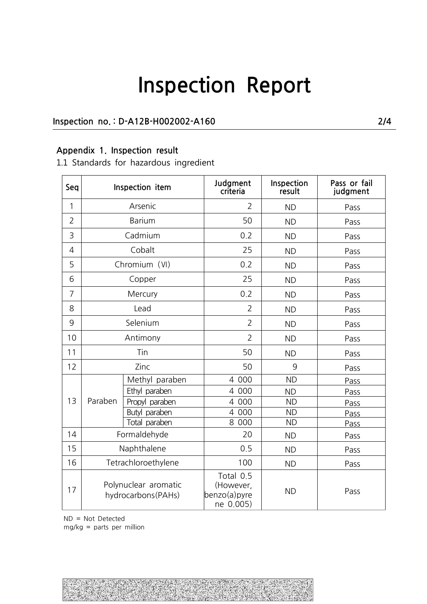### **Inspection no. : D-A12B-H002002-A160 2/4**

### **Appendix 1. Inspection result**

1.1 Standards for hazardous ingredient

| Seq            |                                            | Inspection item | Judgment<br>criteria                                | Inspection<br>result | Pass or fail<br>judgment |
|----------------|--------------------------------------------|-----------------|-----------------------------------------------------|----------------------|--------------------------|
| 1              |                                            | Arsenic         | $\overline{2}$                                      | <b>ND</b>            | Pass                     |
| $\overline{2}$ | <b>Barium</b>                              |                 | 50                                                  | <b>ND</b>            | Pass                     |
| 3              |                                            | Cadmium         | 0.2                                                 | <b>ND</b>            | Pass                     |
| $\overline{4}$ |                                            | Cobalt          | 25                                                  | <b>ND</b>            | Pass                     |
| 5              |                                            | Chromium (VI)   | 0.2                                                 | <b>ND</b>            | Pass                     |
| 6              |                                            | Copper          | 25                                                  | <b>ND</b>            | Pass                     |
| $\overline{7}$ |                                            | Mercury         | 0.2                                                 | <b>ND</b>            | Pass                     |
| 8              |                                            | Lead            | $\overline{2}$                                      | <b>ND</b>            | Pass                     |
| 9              | Selenium                                   |                 | $\overline{2}$                                      | <b>ND</b>            | Pass                     |
| 10             | Antimony                                   |                 | $\overline{2}$                                      | <b>ND</b>            | Pass                     |
| 11             | Tin                                        |                 | 50                                                  | <b>ND</b>            | Pass                     |
| 12             | Zinc                                       |                 | 50                                                  | 9                    | Pass                     |
|                | Paraben                                    | Methyl paraben  | 4 000                                               | <b>ND</b>            | Pass                     |
|                |                                            | Ethyl paraben   | 4 000                                               | <b>ND</b>            | Pass                     |
| 13             |                                            | Propyl paraben  | 4 000                                               | <b>ND</b>            | Pass                     |
|                |                                            | Butyl paraben   | 4 000                                               | <b>ND</b>            | Pass                     |
|                |                                            | Total paraben   | 8 000                                               | <b>ND</b>            | Pass                     |
| 14             |                                            | Formaldehyde    | 20                                                  | <b>ND</b>            | Pass                     |
| 15             |                                            | Naphthalene     | 0.5                                                 | <b>ND</b>            | Pass                     |
| 16             | Tetrachloroethylene                        |                 | 100                                                 | <b>ND</b>            | Pass                     |
| 17             | Polynuclear aromatic<br>hydrocarbons(PAHs) |                 | Total 0.5<br>(However,<br>benzo(a)pyre<br>ne 0.005) | <b>ND</b>            | Pass                     |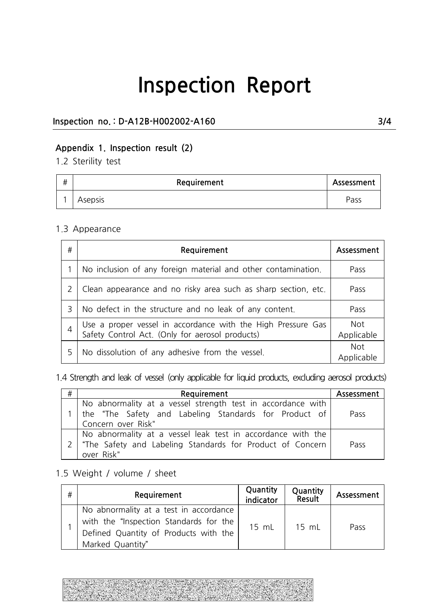### **Inspection no. : D-A12B-H002002-A160 3/4**

### **Appendix 1. Inspection result (2)**

1.2 Sterility test

| # | Requirement | Assessment |  |
|---|-------------|------------|--|
|   | Asepsis     | Pass       |  |

#### 1.3 Appearance

| # | Requirement                                                                                                     | Assessment               |
|---|-----------------------------------------------------------------------------------------------------------------|--------------------------|
|   | No inclusion of any foreign material and other contamination.                                                   | Pass                     |
|   | Clean appearance and no risky area such as sharp section, etc.                                                  | Pass                     |
| 3 | No defect in the structure and no leak of any content.                                                          | Pass                     |
|   | Use a proper vessel in accordance with the High Pressure Gas<br>Safety Control Act. (Only for aerosol products) | <b>Not</b><br>Applicable |
|   | No dissolution of any adhesive from the vessel.                                                                 | <b>Not</b><br>Applicable |

1.4 Strength and leak of vessel (only applicable for liquid products, excluding aerosol products)

| # | Requirement                                                                                                                                | Assessment |
|---|--------------------------------------------------------------------------------------------------------------------------------------------|------------|
|   | No abnormality at a vessel strength test in accordance with<br>the "The Safety and Labeling Standards for Product of<br>Concern over Risk" | Pass       |
|   | No abnormality at a vessel leak test in accordance with the<br>"The Safety and Labeling Standards for Product of Concern<br>over Risk"     | Pass       |

### 1.5 Weight / volume / sheet

|   | "The Safety and Labeling Standards for Product of Concern<br>over Risk"                                                                       |                       |                    | Pass       |
|---|-----------------------------------------------------------------------------------------------------------------------------------------------|-----------------------|--------------------|------------|
|   | .5 Weight / volume / sheet                                                                                                                    |                       |                    |            |
| # | Requirement                                                                                                                                   | Quantity<br>indicator | Quantity<br>Result | Assessment |
|   | No abnormality at a test in accordance<br>with the "Inspection Standards for the<br>Defined Quantity of Products with the<br>Marked Quantity" | 15 mL                 | 15 mL              | Pass       |